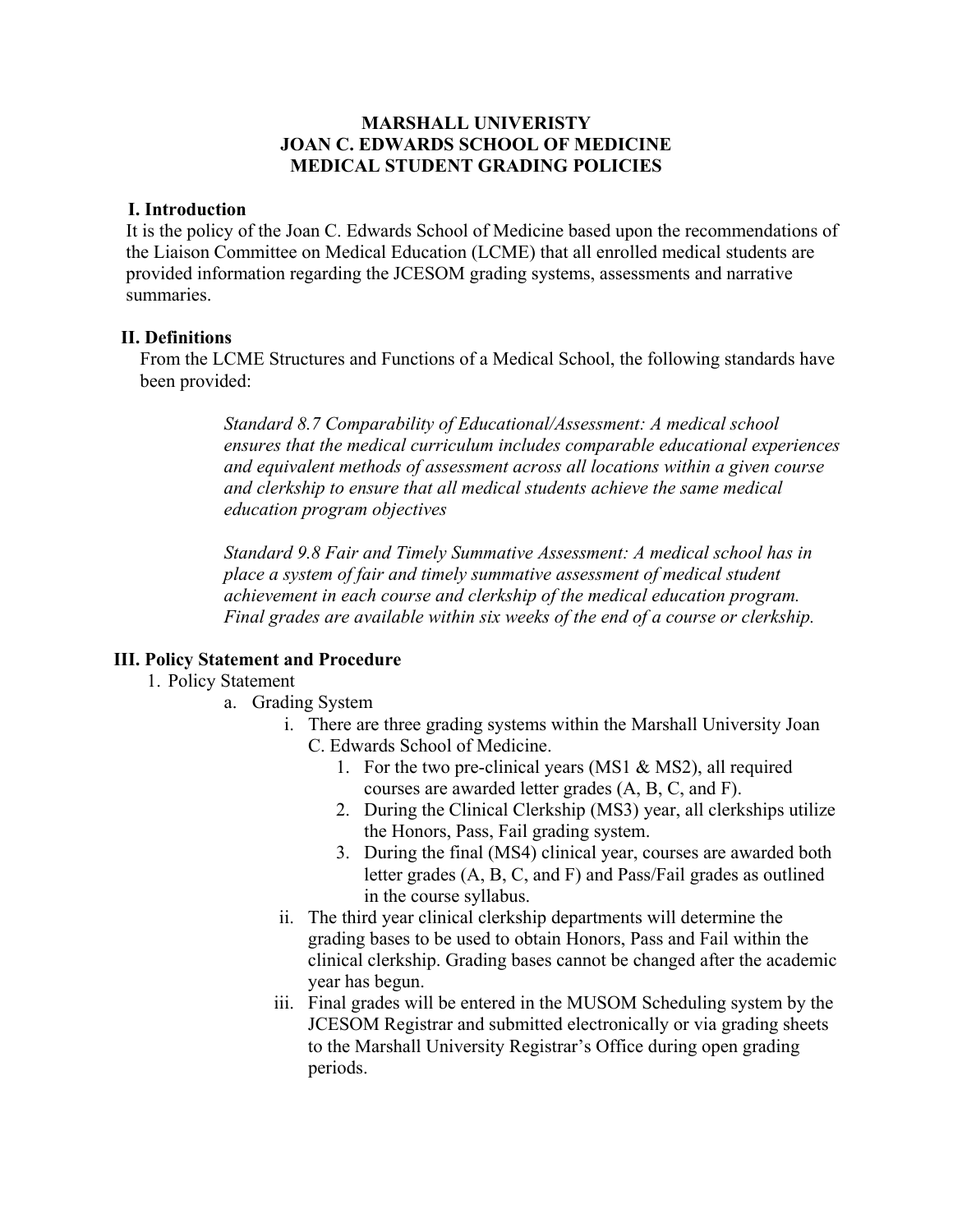## **MARSHALL UNIVERISTY JOAN C. EDWARDS SCHOOL OF MEDICINE MEDICAL STUDENT GRADING POLICIES**

## **I. Introduction**

It is the policy of the Joan C. Edwards School of Medicine based upon the recommendations of the Liaison Committee on Medical Education (LCME) that all enrolled medical students are provided information regarding the JCESOM grading systems, assessments and narrative summaries.

## **II. Definitions**

From the LCME Structures and Functions of a Medical School, the following standards have been provided:

> *Standard 8.7 Comparability of Educational/Assessment: A medical school ensures that the medical curriculum includes comparable educational experiences and equivalent methods of assessment across all locations within a given course and clerkship to ensure that all medical students achieve the same medical education program objectives*

*Standard 9.8 Fair and Timely Summative Assessment: A medical school has in place a system of fair and timely summative assessment of medical student achievement in each course and clerkship of the medical education program. Final grades are available within six weeks of the end of a course or clerkship.*

## **III. Policy Statement and Procedure**

- 1. Policy Statement
	- a. Grading System
		- i. There are three grading systems within the Marshall University Joan C. Edwards School of Medicine.
			- 1. For the two pre-clinical years (MS1 & MS2), all required courses are awarded letter grades (A, B, C, and F).
			- 2. During the Clinical Clerkship (MS3) year, all clerkships utilize the Honors, Pass, Fail grading system.
			- 3. During the final (MS4) clinical year, courses are awarded both letter grades (A, B, C, and F) and Pass/Fail grades as outlined in the course syllabus.
		- ii. The third year clinical clerkship departments will determine the grading bases to be used to obtain Honors, Pass and Fail within the clinical clerkship. Grading bases cannot be changed after the academic year has begun.
		- iii. Final grades will be entered in the MUSOM Scheduling system by the JCESOM Registrar and submitted electronically or via grading sheets to the Marshall University Registrar's Office during open grading periods.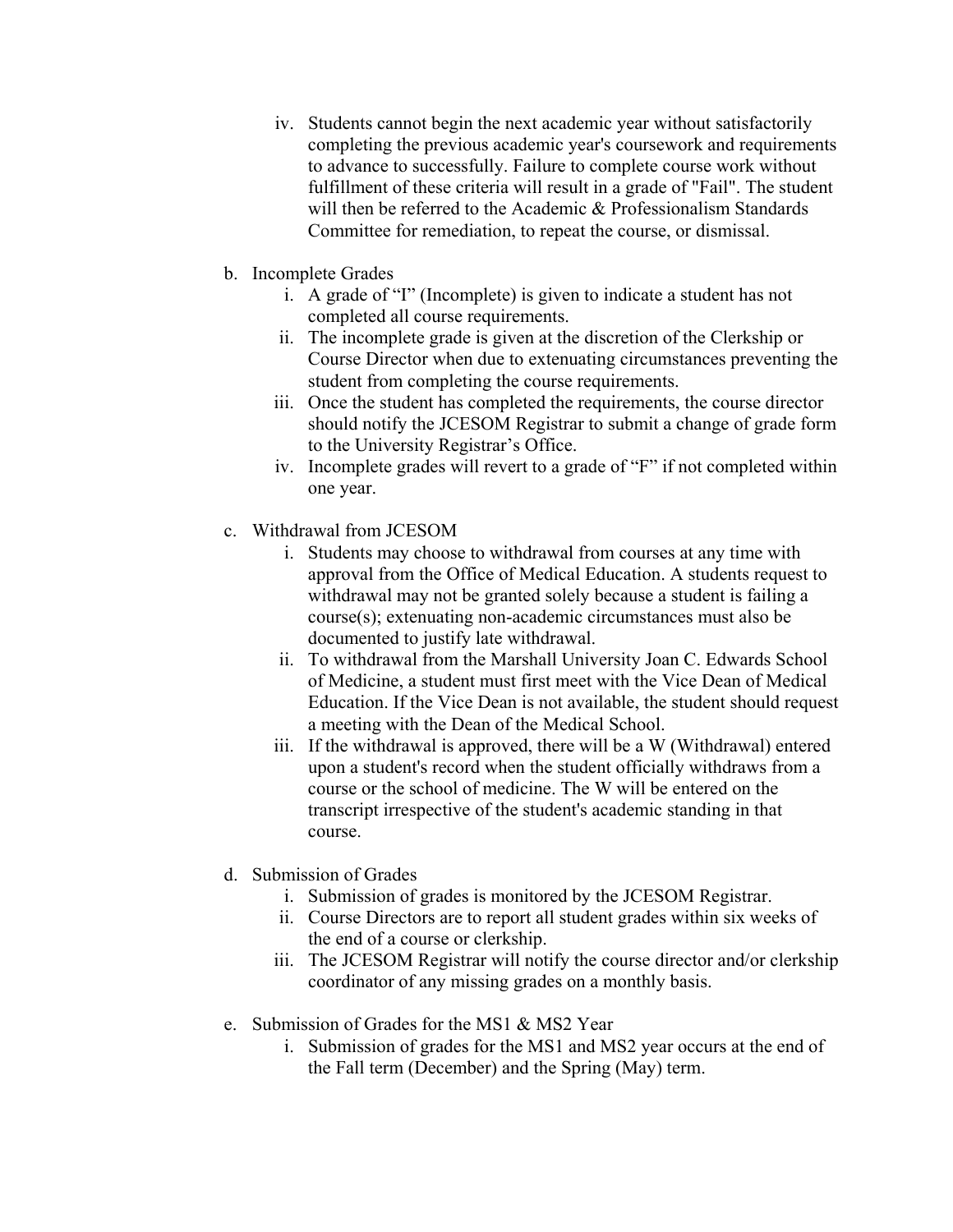- iv. Students cannot begin the next academic year without satisfactorily completing the previous academic year's coursework and requirements to advance to successfully. Failure to complete course work without fulfillment of these criteria will result in a grade of "Fail". The student will then be referred to the Academic & Professionalism Standards Committee for remediation, to repeat the course, or dismissal.
- b. Incomplete Grades
	- i. A grade of "I" (Incomplete) is given to indicate a student has not completed all course requirements.
	- ii. The incomplete grade is given at the discretion of the Clerkship or Course Director when due to extenuating circumstances preventing the student from completing the course requirements.
	- iii. Once the student has completed the requirements, the course director should notify the JCESOM Registrar to submit a change of grade form to the University Registrar's Office.
	- iv. Incomplete grades will revert to a grade of "F" if not completed within one year.
- c. Withdrawal from JCESOM
	- i. Students may choose to withdrawal from courses at any time with approval from the Office of Medical Education. A students request to withdrawal may not be granted solely because a student is failing a course(s); extenuating non-academic circumstances must also be documented to justify late withdrawal.
	- ii. To withdrawal from the Marshall University Joan C. Edwards School of Medicine, a student must first meet with the Vice Dean of Medical Education. If the Vice Dean is not available, the student should request a meeting with the Dean of the Medical School.
	- iii. If the withdrawal is approved, there will be a W (Withdrawal) entered upon a student's record when the student officially withdraws from a course or the school of medicine. The W will be entered on the transcript irrespective of the student's academic standing in that course.
- d. Submission of Grades
	- i. Submission of grades is monitored by the JCESOM Registrar.
	- ii. Course Directors are to report all student grades within six weeks of the end of a course or clerkship.
	- iii. The JCESOM Registrar will notify the course director and/or clerkship coordinator of any missing grades on a monthly basis.
- e. Submission of Grades for the MS1 & MS2 Year
	- i. Submission of grades for the MS1 and MS2 year occurs at the end of the Fall term (December) and the Spring (May) term.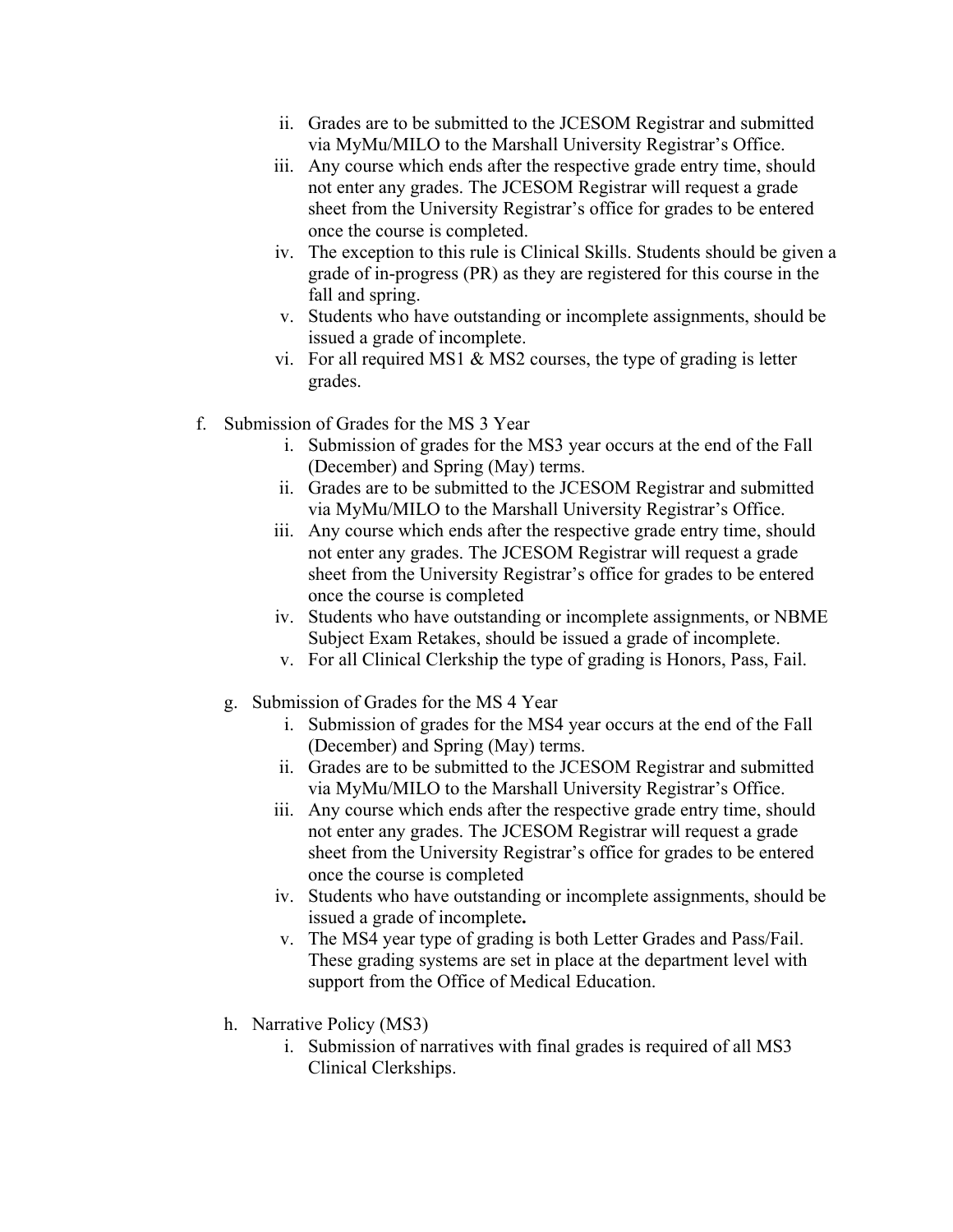- ii. Grades are to be submitted to the JCESOM Registrar and submitted via MyMu/MILO to the Marshall University Registrar's Office.
- iii. Any course which ends after the respective grade entry time, should not enter any grades. The JCESOM Registrar will request a grade sheet from the University Registrar's office for grades to be entered once the course is completed.
- iv. The exception to this rule is Clinical Skills. Students should be given a grade of in-progress (PR) as they are registered for this course in the fall and spring.
- v. Students who have outstanding or incomplete assignments, should be issued a grade of incomplete.
- vi. For all required MS1 & MS2 courses, the type of grading is letter grades.
- f. Submission of Grades for the MS 3 Year
	- i. Submission of grades for the MS3 year occurs at the end of the Fall (December) and Spring (May) terms.
	- ii. Grades are to be submitted to the JCESOM Registrar and submitted via MyMu/MILO to the Marshall University Registrar's Office.
	- iii. Any course which ends after the respective grade entry time, should not enter any grades. The JCESOM Registrar will request a grade sheet from the University Registrar's office for grades to be entered once the course is completed
	- iv. Students who have outstanding or incomplete assignments, or NBME Subject Exam Retakes, should be issued a grade of incomplete.
	- v. For all Clinical Clerkship the type of grading is Honors, Pass, Fail.
	- g. Submission of Grades for the MS 4 Year
		- i. Submission of grades for the MS4 year occurs at the end of the Fall (December) and Spring (May) terms.
		- ii. Grades are to be submitted to the JCESOM Registrar and submitted via MyMu/MILO to the Marshall University Registrar's Office.
		- iii. Any course which ends after the respective grade entry time, should not enter any grades. The JCESOM Registrar will request a grade sheet from the University Registrar's office for grades to be entered once the course is completed
		- iv. Students who have outstanding or incomplete assignments, should be issued a grade of incomplete**.**
		- v. The MS4 year type of grading is both Letter Grades and Pass/Fail. These grading systems are set in place at the department level with support from the Office of Medical Education.
	- h. Narrative Policy (MS3)
		- i. Submission of narratives with final grades is required of all MS3 Clinical Clerkships.